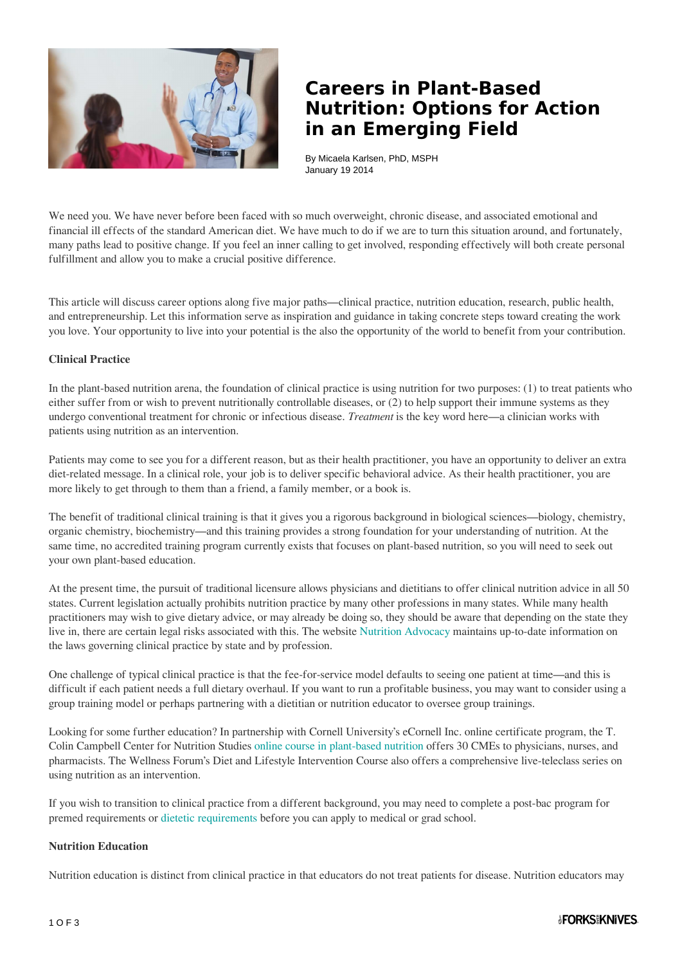

# **Careers in Plant-Based Nutrition: Options for Action in an Emerging Field**

By Micaela Karlsen, PhD, MSPH January 19 2014

We need you. We have never before been faced with so much overweight, chronic disease, and associated emotional and financial ill effects of the standard American diet. We have much to do if we are to turn this situation around, and fortunately, many paths lead to positive change. If you feel an inner calling to get involved, responding effectively will both create personal fulfillment and allow you to make a crucial positive difference.

This article will discuss career options along five major paths―clinical practice, nutrition education, research, public health, and entrepreneurship. Let this information serve as inspiration and guidance in taking concrete steps toward creating the work you love. Your opportunity to live into your potential is the also the opportunity of the world to benefit from your contribution.

### **Clinical Practice**

In the plant-based nutrition arena, the foundation of clinical practice is using nutrition for two purposes: (1) to treat patients who either suffer from or wish to prevent nutritionally controllable diseases, or (2) to help support their immune systems as they undergo conventional treatment for chronic or infectious disease. *Treatment* is the key word here―a clinician works with patients using nutrition as an intervention.

Patients may come to see you for a different reason, but as their health practitioner, you have an opportunity to deliver an extra diet-related message. In a clinical role, your job is to deliver specific behavioral advice. As their health practitioner, you are more likely to get through to them than a friend, a family member, or a book is.

The benefit of traditional clinical training is that it gives you a rigorous background in biological sciences―biology, chemistry, organic chemistry, biochemistry―and this training provides a strong foundation for your understanding of nutrition. At the same time, no accredited training program currently exists that focuses on plant-based nutrition, so you will need to seek out your own plant-based education.

At the present time, the pursuit of traditional licensure allows physicians and dietitians to offer clinical nutrition advice in all 50 states. Current legislation actually prohibits nutrition practice by many other professions in many states. While many health practitioners may wish to give dietary advice, or may already be doing so, they should be aware that depending on the state they live in, there are certain legal risks associated with this. The website [Nutrition Advocacy](http://www.nutritionadvocacy.org/your-profession) maintains up-to-date information on the laws governing clinical practice by state and by profession.

One challenge of typical clinical practice is that the fee-for-service model defaults to seeing one patient at time―and this is difficult if each patient needs a full dietary overhaul. If you want to run a profitable business, you may want to consider using a group training model or perhaps partnering with a dietitian or nutrition educator to oversee group trainings.

Looking for some further education? In partnership with Cornell University's eCornell Inc. online certificate program, the T. Colin Campbell Center for Nutrition Studies [online course in plant-based nutrition](http://nutritionstudies.org/courses/plant-based-nutrition/) offers 30 CMEs to physicians, nurses, and pharmacists. The Wellness Forum's Diet and Lifestyle Intervention Course also offers a comprehensive live-teleclass series on using nutrition as an intervention.

If you wish to transition to clinical practice from a different background, you may need to complete a post-bac program for premed requirements or [dietetic requirements](http://www.eatright.org/BecomeanRDorDTR/content.aspx?id=8156) before you can apply to medical or grad school.

#### **Nutrition Education**

Nutrition education is distinct from clinical practice in that educators do not treat patients for disease. Nutrition educators may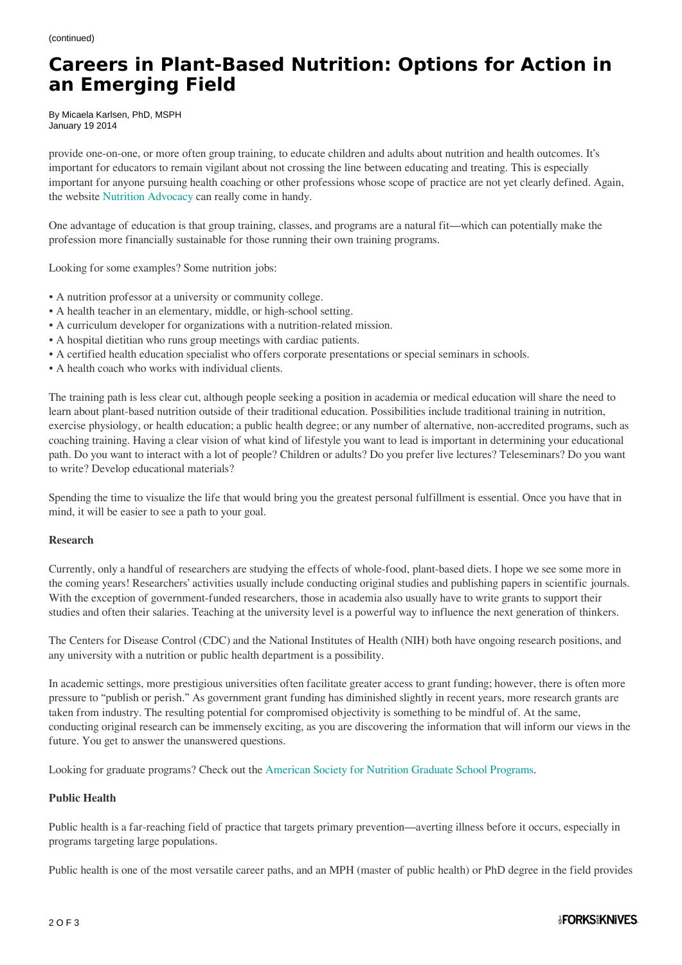## **Careers in Plant-Based Nutrition: Options for Action in an Emerging Field**

By Micaela Karlsen, PhD, MSPH January 19 2014

provide one-on-one, or more often group training, to educate children and adults about nutrition and health outcomes. It's important for educators to remain vigilant about not crossing the line between educating and treating. This is especially important for anyone pursuing health coaching or other professions whose scope of practice are not yet clearly defined. Again, the website [Nutrition Advocacy](http://www.nutritionadvocacy.org/your-profession) can really come in handy.

One advantage of education is that group training, classes, and programs are a natural fit―which can potentially make the profession more financially sustainable for those running their own training programs.

Looking for some examples? Some nutrition jobs:

- A nutrition professor at a university or community college.
- A health teacher in an elementary, middle, or high-school setting.
- A curriculum developer for organizations with a nutrition-related mission.
- A hospital dietitian who runs group meetings with cardiac patients.
- A certified health education specialist who offers corporate presentations or special seminars in schools.
- A health coach who works with individual clients.

The training path is less clear cut, although people seeking a position in academia or medical education will share the need to learn about plant-based nutrition outside of their traditional education. Possibilities include traditional training in nutrition, exercise physiology, or health education; a public health degree; or any number of alternative, non-accredited programs, such as coaching training. Having a clear vision of what kind of lifestyle you want to lead is important in determining your educational path. Do you want to interact with a lot of people? Children or adults? Do you prefer live lectures? Teleseminars? Do you want to write? Develop educational materials?

Spending the time to visualize the life that would bring you the greatest personal fulfillment is essential. Once you have that in mind, it will be easier to see a path to your goal.

#### **Research**

Currently, only a handful of researchers are studying the effects of whole-food, plant-based diets. I hope we see some more in the coming years! Researchers' activities usually include conducting original studies and publishing papers in scientific journals. With the exception of government-funded researchers, those in academia also usually have to write grants to support their studies and often their salaries. Teaching at the university level is a powerful way to influence the next generation of thinkers.

The Centers for Disease Control (CDC) and the National Institutes of Health (NIH) both have ongoing research positions, and any university with a nutrition or public health department is a possibility.

In academic settings, more prestigious universities often facilitate greater access to grant funding; however, there is often more pressure to "publish or perish." As government grant funding has diminished slightly in recent years, more research grants are taken from industry. The resulting potential for compromised objectivity is something to be mindful of. At the same, conducting original research can be immensely exciting, as you are discovering the information that will inform our views in the future. You get to answer the unanswered questions.

Looking for graduate programs? Check out the [American Society for Nutrition Graduate School Programs.](http://www.nutrition.org/education-and-professional-development/graduate-program-directory/)

#### **Public Health**

Public health is a far-reaching field of practice that targets primary prevention―averting illness before it occurs, especially in programs targeting large populations.

Public health is one of the most versatile career paths, and an MPH (master of public health) or PhD degree in the field provides